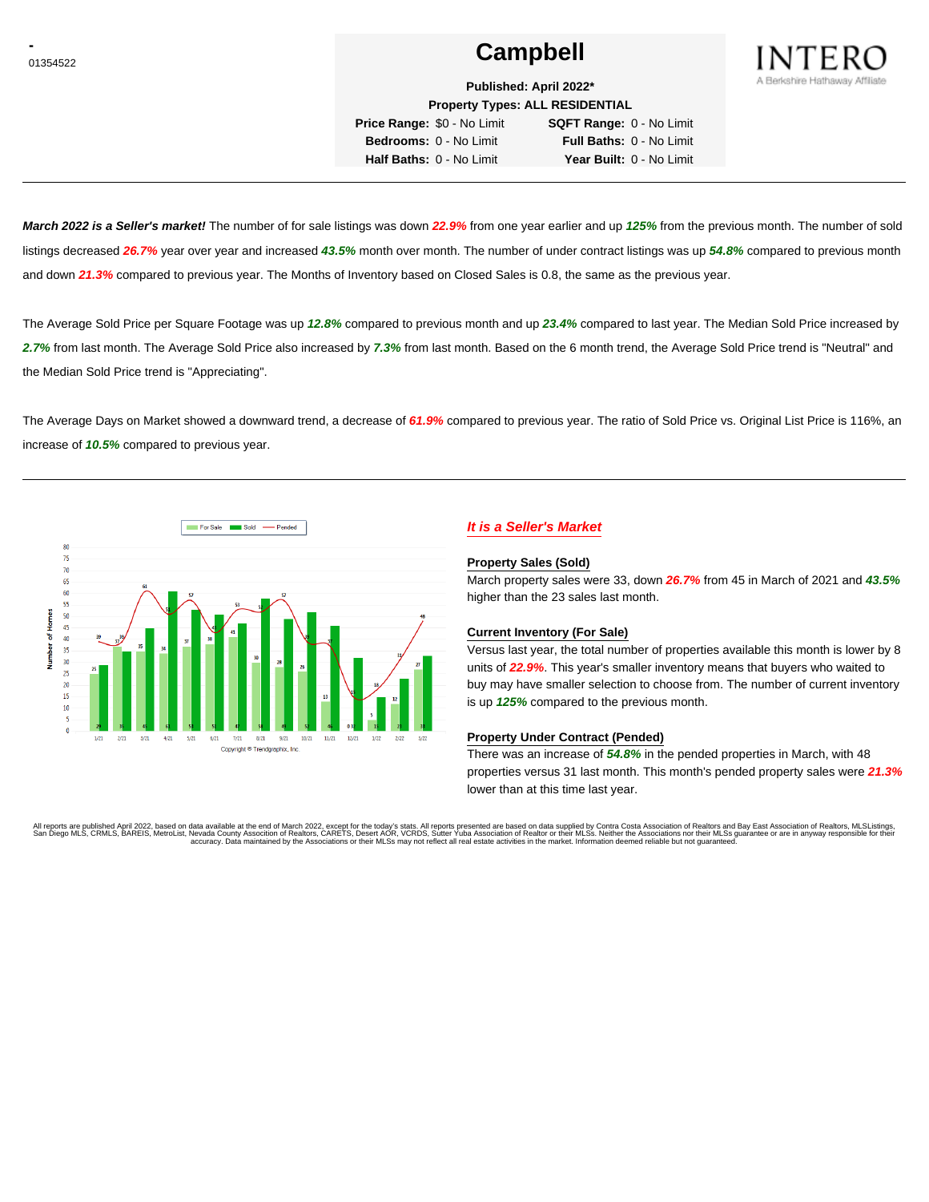# **Campbell Campbell**



**Published: April 2022\* Property Types: ALL RESIDENTIAL**

**Price Range:** \$0 - No Limit **SQFT Range:** 0 - No Limit **Bedrooms:** 0 - No Limit **Full Baths:** 0 - No Limit

**Half Baths:** 0 - No Limit **Year Built:** 0 - No Limit

**March 2022 is a Seller's market!** The number of for sale listings was down **22.9%** from one year earlier and up **125%** from the previous month. The number of sold listings decreased **26.7%** year over year and increased **43.5%** month over month. The number of under contract listings was up **54.8%** compared to previous month and down **21.3%** compared to previous year. The Months of Inventory based on Closed Sales is 0.8, the same as the previous year.

The Average Sold Price per Square Footage was up **12.8%** compared to previous month and up **23.4%** compared to last year. The Median Sold Price increased by **2.7%** from last month. The Average Sold Price also increased by **7.3%** from last month. Based on the 6 month trend, the Average Sold Price trend is "Neutral" and the Median Sold Price trend is "Appreciating".

The Average Days on Market showed a downward trend, a decrease of **61.9%** compared to previous year. The ratio of Sold Price vs. Original List Price is 116%, an increase of **10.5%** compared to previous year.



# **It is a Seller's Market**

#### **Property Sales (Sold)**

March property sales were 33, down **26.7%** from 45 in March of 2021 and **43.5%** higher than the 23 sales last month.

### **Current Inventory (For Sale)**

Versus last year, the total number of properties available this month is lower by 8 units of **22.9%**. This year's smaller inventory means that buyers who waited to buy may have smaller selection to choose from. The number of current inventory is up **125%** compared to the previous month.

### **Property Under Contract (Pended)**

There was an increase of **54.8%** in the pended properties in March, with 48 properties versus 31 last month. This month's pended property sales were **21.3%** lower than at this time last year.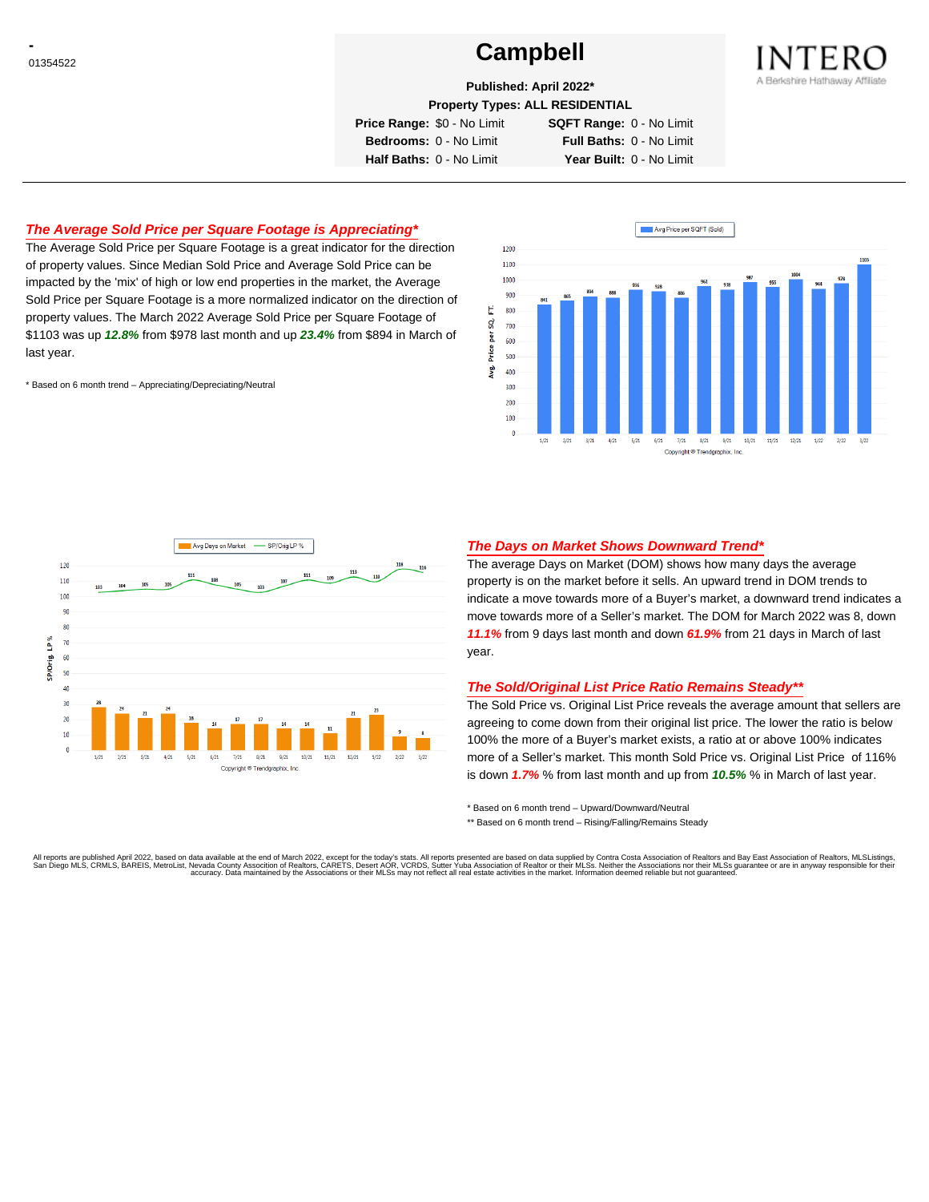# **Campbell Campbell**



**Published: April 2022\***

**Property Types: ALL RESIDENTIAL**

**Price Range:** \$0 - No Limit **SQFT Range:** 0 - No Limit

**Bedrooms:** 0 - No Limit **Full Baths:** 0 - No Limit **Half Baths:** 0 - No Limit **Year Built:** 0 - No Limit

# **The Average Sold Price per Square Footage is Appreciating\***

The Average Sold Price per Square Footage is a great indicator for the direction of property values. Since Median Sold Price and Average Sold Price can be impacted by the 'mix' of high or low end properties in the market, the Average Sold Price per Square Footage is a more normalized indicator on the direction of property values. The March 2022 Average Sold Price per Square Footage of \$1103 was up **12.8%** from \$978 last month and up **23.4%** from \$894 in March of last year.

\* Based on 6 month trend – Appreciating/Depreciating/Neutral





### **The Days on Market Shows Downward Trend\***

The average Days on Market (DOM) shows how many days the average property is on the market before it sells. An upward trend in DOM trends to indicate a move towards more of a Buyer's market, a downward trend indicates a move towards more of a Seller's market. The DOM for March 2022 was 8, down **11.1%** from 9 days last month and down **61.9%** from 21 days in March of last year.

#### **The Sold/Original List Price Ratio Remains Steady\*\***

The Sold Price vs. Original List Price reveals the average amount that sellers are agreeing to come down from their original list price. The lower the ratio is below 100% the more of a Buyer's market exists, a ratio at or above 100% indicates more of a Seller's market. This month Sold Price vs. Original List Price of 116% is down **1.7%** % from last month and up from **10.5%** % in March of last year.

\* Based on 6 month trend – Upward/Downward/Neutral

\*\* Based on 6 month trend - Rising/Falling/Remains Steady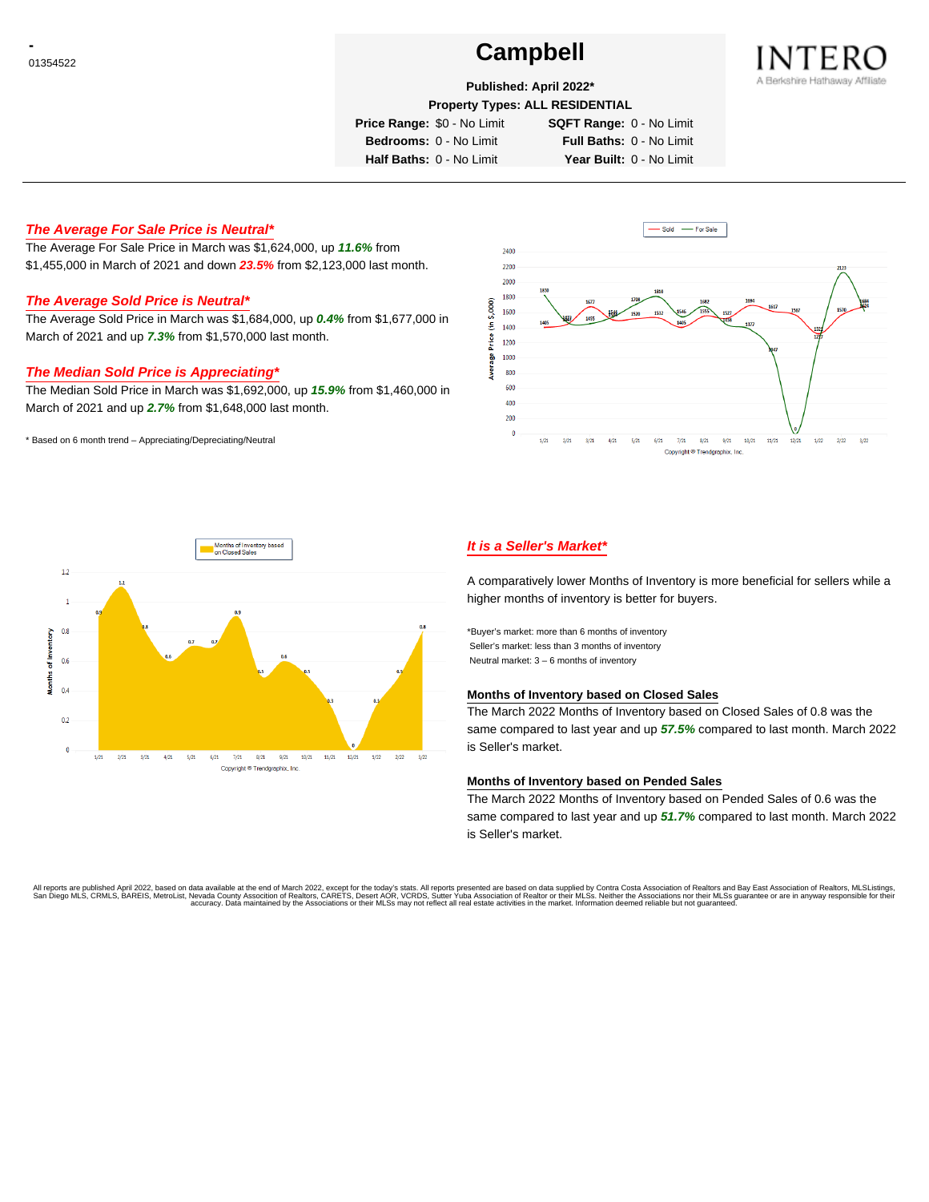# **Campbell Campbell**



**Published: April 2022\***

**Property Types: ALL RESIDENTIAL**

**Price Range:** \$0 - No Limit **SQFT Range:** 0 - No Limit

**Bedrooms:** 0 - No Limit **Full Baths:** 0 - No Limit

**Half Baths:** 0 - No Limit **Year Built:** 0 - No Limit

# **The Average For Sale Price is Neutral\***

The Average For Sale Price in March was \$1,624,000, up **11.6%** from \$1,455,000 in March of 2021 and down **23.5%** from \$2,123,000 last month.

### **The Average Sold Price is Neutral\***

The Average Sold Price in March was \$1,684,000, up **0.4%** from \$1,677,000 in March of 2021 and up **7.3%** from \$1,570,000 last month.

### **The Median Sold Price is Appreciating\***

The Median Sold Price in March was \$1,692,000, up **15.9%** from \$1,460,000 in March of 2021 and up **2.7%** from \$1,648,000 last month.

\* Based on 6 month trend – Appreciating/Depreciating/Neutral





# **It is a Seller's Market\***

A comparatively lower Months of Inventory is more beneficial for sellers while a higher months of inventory is better for buyers.

\*Buyer's market: more than 6 months of inventory Seller's market: less than 3 months of inventory Neutral market: 3 – 6 months of inventory

#### **Months of Inventory based on Closed Sales**

The March 2022 Months of Inventory based on Closed Sales of 0.8 was the same compared to last year and up **57.5%** compared to last month. March 2022 is Seller's market.

#### **Months of Inventory based on Pended Sales**

The March 2022 Months of Inventory based on Pended Sales of 0.6 was the same compared to last year and up **51.7%** compared to last month. March 2022 is Seller's market.